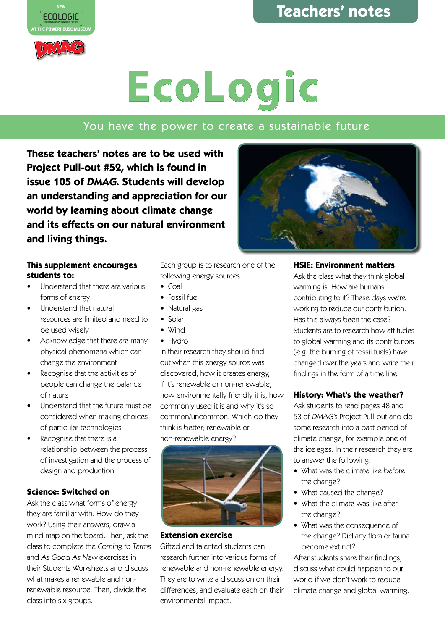

MAG

## **EcoLogic**

### You have the power to create a sustainable future

**These teachers' notes are to be used with Project Pull-out #52, which is found in issue 105 of DMAG. Students will develop an understanding and appreciation for our world by learning about climate change and its effects on our natural environment and living things.**



- Understand that there are various forms of energy
- Understand that natural resources are limited and need to be used wisely
- Acknowledge that there are many physical phenomena which can change the environment
- Recognise that the activities of people can change the balance of nature
- Understand that the future must be considered when making choices of particular technologies
- Recognise that there is a relationship between the process of investigation and the process of design and production

#### **Science: Switched on**

Ask the class what forms of energy they are familiar with. How do they work? Using their answers, draw a mind map on the board. Then, ask the class to complete the Coming to Terms and As Good As New exercises in their Students Worksheets and discuss what makes a renewable and nonrenewable resource. Then, divide the class into six groups.

Each group is to research one of the following energy sources:

- Coal
- Fossil fuel
- Natural gas
- Solar
- Wind
- Hydro

In their research they should find out when this energy source was discovered, how it creates energy, if it's renewable or non-renewable, how environmentally friendly it is, how commonly used it is and why it's so common/uncommon. Which do they think is better; renewable or non-renewable energy?



#### **Extension exercise**

Gifted and talented students can research further into various forms of renewable and non-renewable energy. They are to write a discussion on their differences, and evaluate each on their environmental impact.



#### **HSIE: Environment matters**

Ask the class what they think global warming is. How are humans contributing to it? These days we're working to reduce our contribution. Has this always been the case? Students are to research how attitudes to global warming and its contributors (e.g. the burning of fossil fuels) have changed over the years and write their findings in the form of a time line.

#### **History: What's the weather?**

Ask students to read pages 48 and 53 of DMAG's Project Pull-out and do some research into a past period of climate change, for example one of the ice ages. In their research they are to answer the following:

- What was the climate like before the change?
- What caused the change?
- What the climate was like after the change?
- What was the consequence of the change? Did any flora or fauna become extinct?

After students share their findings, discuss what could happen to our world if we don't work to reduce climate change and global warming.